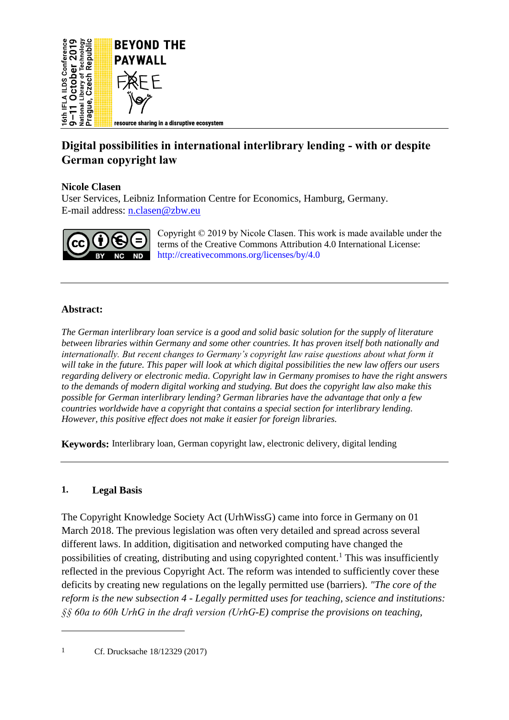

# **Digital possibilities in international interlibrary lending - with or despite German copyright law**

## **Nicole Clasen**

User Services, Leibniz Information Centre for Economics, Hamburg, Germany. E-mail address: [n.clasen@zbw.eu](mailto:n.clasen@zbw.eu)



Copyright © 2019 by Nicole Clasen. This work is made available under the terms of the Creative Commons Attribution 4.0 International License: <http://creativecommons.org/licenses/by/4.0>

## **Abstract:**

*The German interlibrary loan service is a good and solid basic solution for the supply of literature between libraries within Germany and some other countries. It has proven itself both nationally and internationally. But recent changes to Germany's copyright law raise questions about what form it will take in the future. This paper will look at which digital possibilities the new law offers our users regarding delivery or electronic media. Copyright law in Germany promises to have the right answers to the demands of modern digital working and studying. But does the copyright law also make this possible for German interlibrary lending? German libraries have the advantage that only a few countries worldwide have a copyright that contains a special section for interlibrary lending. However, this positive effect does not make it easier for foreign libraries.*

**Keywords:** Interlibrary loan, German copyright law, electronic delivery, digital lending

#### **1. Legal Basis**

The Copyright Knowledge Society Act (UrhWissG) came into force in Germany on 01 March 2018. The previous legislation was often very detailed and spread across several different laws. In addition, digitisation and networked computing have changed the possibilities of creating, distributing and using copyrighted content.<sup>1</sup> This was insufficiently reflected in the previous Copyright Act. The reform was intended to sufficiently cover these deficits by creating new regulations on the legally permitted use (barriers). *"The core of the reform is the new subsection 4 - Legally permitted uses for teaching, science and institutions: §§ 60a to 60h UrhG in the draft version (UrhG-E) comprise the provisions on teaching,* 

1 Cf. Drucksache 18/12329 (2017)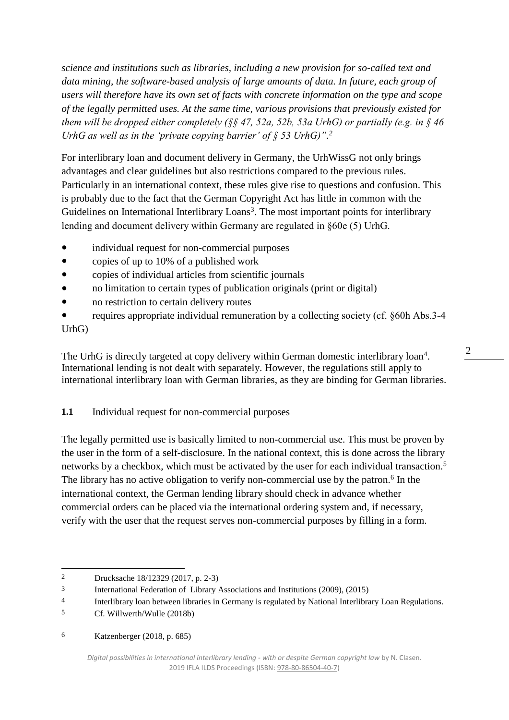*science and institutions such as libraries, including a new provision for so-called text and data mining, the software-based analysis of large amounts of data. In future, each group of users will therefore have its own set of facts with concrete information on the type and scope of the legally permitted uses. At the same time, various provisions that previously existed for them will be dropped either completely (§§ 47, 52a, 52b, 53a UrhG) or partially (e.g. in § 46*  UrhG as well as in the 'private copying barrier' of  $\S$  53 UrhG)".<sup>2</sup>

For interlibrary loan and document delivery in Germany, the UrhWissG not only brings advantages and clear guidelines but also restrictions compared to the previous rules. Particularly in an international context, these rules give rise to questions and confusion. This is probably due to the fact that the German Copyright Act has little in common with the Guidelines on International Interlibrary Loans<sup>3</sup>. The most important points for interlibrary lending and document delivery within Germany are regulated in §60e (5) UrhG.

- individual request for non-commercial purposes
- copies of up to 10% of a published work
- copies of individual articles from scientific journals
- no limitation to certain types of publication originals (print or digital)
- no restriction to certain delivery routes
- requires appropriate individual remuneration by a collecting society (cf. §60h Abs.3-4 UrhG)

The UrhG is directly targeted at copy delivery within German domestic interlibrary loan<sup>4</sup>. International lending is not dealt with separately. However, the regulations still apply to international interlibrary loan with German libraries, as they are binding for German libraries.

**1.1** Individual request for non-commercial purposes

The legally permitted use is basically limited to non-commercial use. This must be proven by the user in the form of a self-disclosure. In the national context, this is done across the library networks by a checkbox, which must be activated by the user for each individual transaction.<sup>5</sup> The library has no active obligation to verify non-commercial use by the patron.<sup>6</sup> In the international context, the German lending library should check in advance whether commercial orders can be placed via the international ordering system and, if necessary, verify with the user that the request serves non-commercial purposes by filling in a form.

 $\overline{a}$ 

6 Katzenberger (2018, p. 685)

<sup>2</sup> Drucksache 18/12329 (2017, p. 2-3)

<sup>3</sup> International Federation of Library Associations and Institutions (2009), (2015)

<sup>4</sup> Interlibrary loan between libraries in Germany is regulated by National Interlibrary Loan Regulations.

<sup>5</sup> Cf. Willwerth/Wulle (2018b)

*Digital possibilities in international interlibrary lending - with or despite German copyright law* by N. Clasen. 2019 IFLA ILDS Proceedings (ISBN[: 978-80-86504-40-7\)](https://www.techlib.cz/en/84026)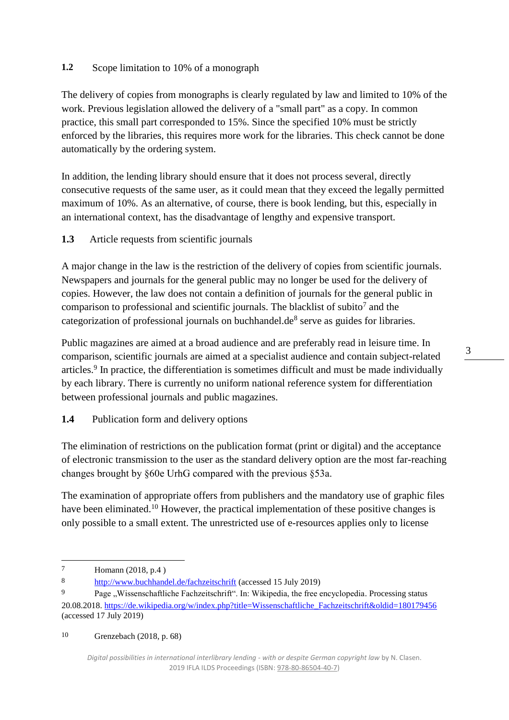### **1.2** Scope limitation to 10% of a monograph

The delivery of copies from monographs is clearly regulated by law and limited to 10% of the work. Previous legislation allowed the delivery of a "small part" as a copy. In common practice, this small part corresponded to 15%. Since the specified 10% must be strictly enforced by the libraries, this requires more work for the libraries. This check cannot be done automatically by the ordering system.

In addition, the lending library should ensure that it does not process several, directly consecutive requests of the same user, as it could mean that they exceed the legally permitted maximum of 10%. As an alternative, of course, there is book lending, but this, especially in an international context, has the disadvantage of lengthy and expensive transport.

## **1.3** Article requests from scientific journals

A major change in the law is the restriction of the delivery of copies from scientific journals. Newspapers and journals for the general public may no longer be used for the delivery of copies. However, the law does not contain a definition of journals for the general public in comparison to professional and scientific journals. The blacklist of subito<sup>7</sup> and the categorization of professional journals on buchhandel.de<sup>8</sup> serve as guides for libraries.

Public magazines are aimed at a broad audience and are preferably read in leisure time. In comparison, scientific journals are aimed at a specialist audience and contain subject-related articles.<sup>9</sup> In practice, the differentiation is sometimes difficult and must be made individually by each library. There is currently no uniform national reference system for differentiation between professional journals and public magazines.

## **1.4** Publication form and delivery options

The elimination of restrictions on the publication format (print or digital) and the acceptance of electronic transmission to the user as the standard delivery option are the most far-reaching changes brought by §60e UrhG compared with the previous §53a.

The examination of appropriate offers from publishers and the mandatory use of graphic files have been eliminated.<sup>10</sup> However, the practical implementation of these positive changes is only possible to a small extent. The unrestricted use of e-resources applies only to license

 $\overline{a}$ 

10 Grenzebach (2018, p. 68)

<sup>7</sup> Homann (2018, p.4 )

<sup>8</sup> <http://www.buchhandel.de/fachzeitschrift> (accessed 15 July 2019)

<sup>&</sup>lt;sup>9</sup> Page "Wissenschaftliche Fachzeitschrift". In: Wikipedia, the free encyclopedia. Processing status 20.08.2018. [https://de.wikipedia.org/w/index.php?title=Wissenschaftliche\\_Fachzeitschrift&oldid=180179456](https://de.wikipedia.org/w/index.php?title=Wissenschaftliche_Fachzeitschrift&oldid=180179456) (accessed 17 July 2019)

*Digital possibilities in international interlibrary lending - with or despite German copyright law* by N. Clasen. 2019 IFLA ILDS Proceedings (ISBN[: 978-80-86504-40-7\)](https://www.techlib.cz/en/84026)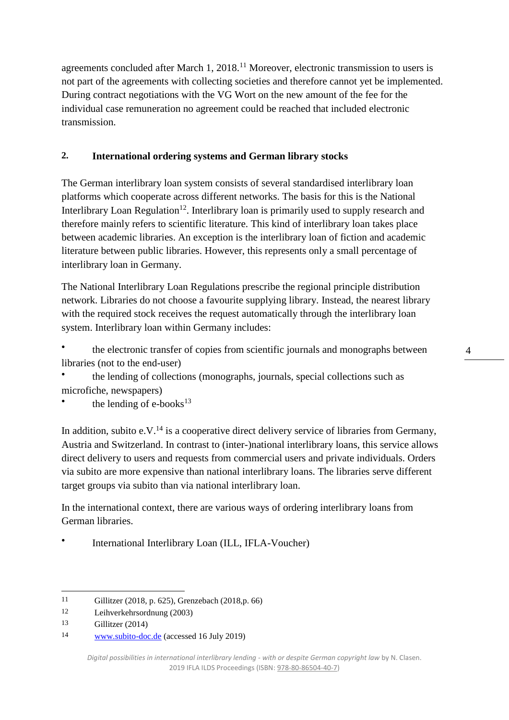agreements concluded after March 1, 2018.<sup>11</sup> Moreover, electronic transmission to users is not part of the agreements with collecting societies and therefore cannot yet be implemented. During contract negotiations with the VG Wort on the new amount of the fee for the individual case remuneration no agreement could be reached that included electronic transmission.

## **2. International ordering systems and German library stocks**

The German interlibrary loan system consists of several standardised interlibrary loan platforms which cooperate across different networks. The basis for this is the National Interlibrary Loan Regulation<sup>12</sup>. Interlibrary loan is primarily used to supply research and therefore mainly refers to scientific literature. This kind of interlibrary loan takes place between academic libraries. An exception is the interlibrary loan of fiction and academic literature between public libraries. However, this represents only a small percentage of interlibrary loan in Germany.

The National Interlibrary Loan Regulations prescribe the regional principle distribution network. Libraries do not choose a favourite supplying library. Instead, the nearest library with the required stock receives the request automatically through the interlibrary loan system. Interlibrary loan within Germany includes:

● the electronic transfer of copies from scientific journals and monographs between libraries (not to the end-user)

● the lending of collections (monographs, journals, special collections such as microfiche, newspapers)

● the lending of  $e$ -books<sup>13</sup>

In addition, subito e.V.<sup>14</sup> is a cooperative direct delivery service of libraries from Germany, Austria and Switzerland. In contrast to (inter-)national interlibrary loans, this service allows direct delivery to users and requests from commercial users and private individuals. Orders via subito are more expensive than national interlibrary loans. The libraries serve different target groups via subito than via national interlibrary loan.

In the international context, there are various ways of ordering interlibrary loans from German libraries.

● International Interlibrary Loan (ILL, IFLA-Voucher)

 $\overline{a}$ 11 Gillitzer (2018, p. 625), Grenzebach (2018,p. 66)

<sup>12</sup> Leihverkehrsordnung (2003)

<sup>13</sup> Gillitzer (2014)

<sup>14</sup> [www.subito-doc.de](http://www.subito-doc.de/) (accessed 16 July 2019)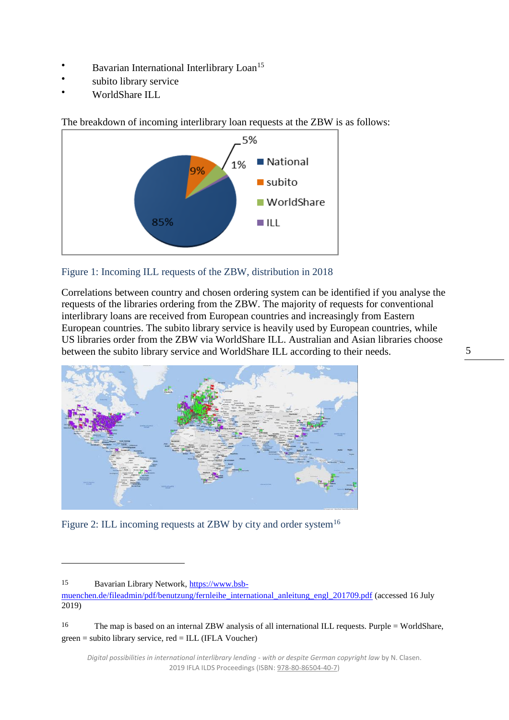- Bavarian International Interlibrary Loan<sup>15</sup>
- subito library service
- WorldShare ILL

The breakdown of incoming interlibrary loan requests at the ZBW is as follows:



Figure 1: Incoming ILL requests of the ZBW, distribution in 2018

Correlations between country and chosen ordering system can be identified if you analyse the requests of the libraries ordering from the ZBW. The majority of requests for conventional interlibrary loans are received from European countries and increasingly from Eastern European countries. The subito library service is heavily used by European countries, while US libraries order from the ZBW via WorldShare ILL. Australian and Asian libraries choose between the subito library service and WorldShare ILL according to their needs.



Figure 2: ILL incoming requests at ZBW by city and order system<sup>16</sup>

<sup>15</sup> Bavarian Library Network, [https://www.bsb-](https://www.bsb-muenchen.de/fileadmin/pdf/benutzung/fernleihe_international_anleitung_engl_201709.pdf)

[muenchen.de/fileadmin/pdf/benutzung/fernleihe\\_international\\_anleitung\\_engl\\_201709.pdf](https://www.bsb-muenchen.de/fileadmin/pdf/benutzung/fernleihe_international_anleitung_engl_201709.pdf) (accessed 16 July 2019)

<sup>16</sup> The map is based on an internal ZBW analysis of all international ILL requests. Purple = WorldShare, green = subito library service, red = ILL (IFLA Voucher)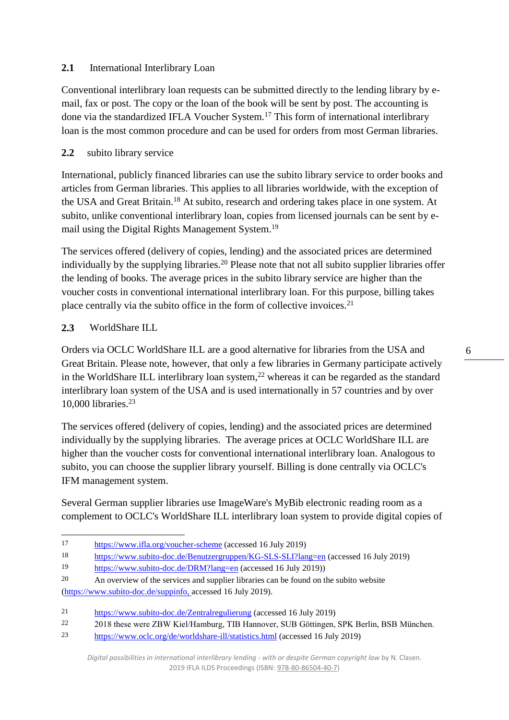## 2.1 International Interlibrary Loan

Conventional interlibrary loan requests can be submitted directly to the lending library by email, fax or post. The copy or the loan of the book will be sent by post. The accounting is done via the standardized IFLA Voucher System.<sup>17</sup> This form of international interlibrary loan is the most common procedure and can be used for orders from most German libraries.

## **2.2** subito library service

International, publicly financed libraries can use the subito library service to order books and articles from German libraries. This applies to all libraries worldwide, with the exception of the USA and Great Britain.<sup>18</sup> At subito, research and ordering takes place in one system. At subito, unlike conventional interlibrary loan, copies from licensed journals can be sent by email using the Digital Rights Management System.<sup>19</sup>

The services offered (delivery of copies, lending) and the associated prices are determined individually by the supplying libraries.<sup>20</sup> Please note that not all subito supplier libraries offer the lending of books. The average prices in the subito library service are higher than the voucher costs in conventional international interlibrary loan. For this purpose, billing takes place centrally via the subito office in the form of collective invoices.<sup>21</sup>

## **2.3** WorldShare ILL

 $\overline{a}$ 

Orders via OCLC WorldShare ILL are a good alternative for libraries from the USA and Great Britain. Please note, however, that only a few libraries in Germany participate actively in the WorldShare ILL interlibrary loan system,<sup>22</sup> whereas it can be regarded as the standard interlibrary loan system of the USA and is used internationally in 57 countries and by over 10,000 libraries.<sup>23</sup>

The services offered (delivery of copies, lending) and the associated prices are determined individually by the supplying libraries. The average prices at OCLC WorldShare ILL are higher than the voucher costs for conventional international interlibrary loan. Analogous to subito, you can choose the supplier library yourself. Billing is done centrally via OCLC's IFM management system.

Several German supplier libraries use ImageWare's MyBib electronic reading room as a complement to OCLC's WorldShare ILL interlibrary loan system to provide digital copies of

<sup>17</sup> <https://www.ifla.org/voucher-scheme> (accessed 16 July 2019)

<sup>18</sup> <https://www.subito-doc.de/Benutzergruppen/KG-SLS-SLI?lang=en> (accessed 16 July 2019)

<sup>19</sup> <https://www.subito-doc.de/DRM?lang=en> (accessed 16 July 2019))

<sup>20</sup> An overview of the services and supplier libraries can be found on the subito website [\(https://www.subito-doc.de/suppinfo,](https://www.subito-doc.de/suppinfo) accessed 16 July 2019).

<sup>21</sup> <https://www.subito-doc.de/Zentralregulierung> (accessed 16 July 2019)

<sup>22</sup> 2018 these were ZBW Kiel/Hamburg, TIB Hannover, SUB Göttingen, SPK Berlin, BSB München.

<sup>23</sup> <https://www.oclc.org/de/worldshare-ill/statistics.html> (accessed 16 July 2019)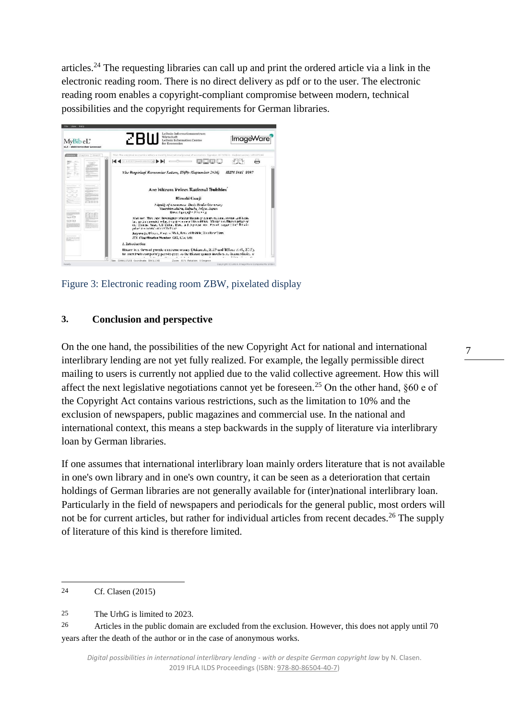articles.<sup>24</sup> The requesting libraries can call up and print the ordered article via a link in the electronic reading room. There is no direct delivery as pdf or to the user. The electronic reading room enables a copyright-compliant compromise between modern, technical possibilities and the copyright requirements for German libraries.



Figure 3: Electronic reading room ZBW, pixelated display

## **3. Conclusion and perspective**

On the one hand, the possibilities of the new Copyright Act for national and international interlibrary lending are not yet fully realized. For example, the legally permissible direct mailing to users is currently not applied due to the valid collective agreement. How this will affect the next legislative negotiations cannot yet be foreseen.<sup>25</sup> On the other hand,  $§60$  e of the Copyright Act contains various restrictions, such as the limitation to 10% and the exclusion of newspapers, public magazines and commercial use. In the national and international context, this means a step backwards in the supply of literature via interlibrary loan by German libraries.

If one assumes that international interlibrary loan mainly orders literature that is not available in one's own library and in one's own country, it can be seen as a deterioration that certain holdings of German libraries are not generally available for (inter)national interlibrary loan. Particularly in the field of newspapers and periodicals for the general public, most orders will not be for current articles, but rather for individual articles from recent decades.<sup>26</sup> The supply of literature of this kind is therefore limited.

<sup>24</sup> Cf. Clasen (2015)

<sup>25</sup> The UrhG is limited to 2023.

<sup>26</sup> Articles in the public domain are excluded from the exclusion. However, this does not apply until 70 years after the death of the author or in the case of anonymous works.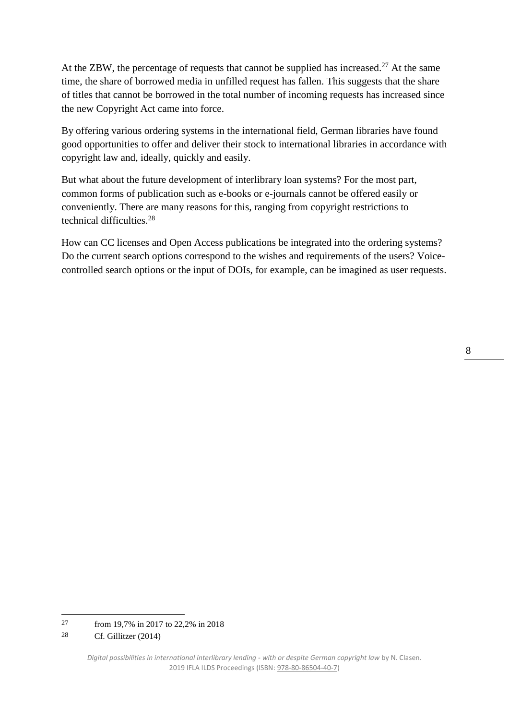At the ZBW, the percentage of requests that cannot be supplied has increased.<sup>27</sup> At the same time, the share of borrowed media in unfilled request has fallen. This suggests that the share of titles that cannot be borrowed in the total number of incoming requests has increased since the new Copyright Act came into force.

By offering various ordering systems in the international field, German libraries have found good opportunities to offer and deliver their stock to international libraries in accordance with copyright law and, ideally, quickly and easily.

But what about the future development of interlibrary loan systems? For the most part, common forms of publication such as e-books or e-journals cannot be offered easily or conveniently. There are many reasons for this, ranging from copyright restrictions to technical difficulties.<sup>28</sup>

How can CC licenses and Open Access publications be integrated into the ordering systems? Do the current search options correspond to the wishes and requirements of the users? Voicecontrolled search options or the input of DOIs, for example, can be imagined as user requests.

<sup>8</sup>

<sup>27</sup> from 19,7% in 2017 to 22,2% in 2018

<sup>28</sup> Cf. Gillitzer (2014)

*Digital possibilities in international interlibrary lending - with or despite German copyright law* by N. Clasen. 2019 IFLA ILDS Proceedings (ISBN[: 978-80-86504-40-7\)](https://www.techlib.cz/en/84026)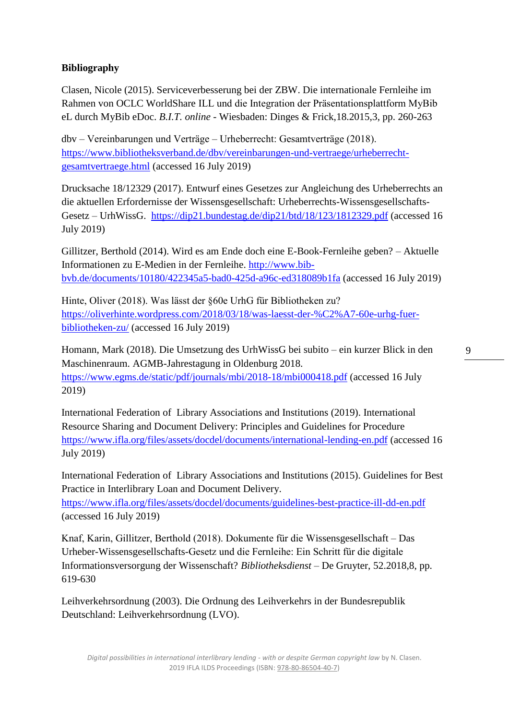## **Bibliography**

Clasen, Nicole (2015). Serviceverbesserung bei der ZBW. Die internationale Fernleihe im Rahmen von OCLC WorldShare ILL und die Integration der Präsentationsplattform MyBib eL durch MyBib eDoc. *B.I.T. online* - Wiesbaden: Dinges & Frick,18.2015,3, pp. 260-263

dbv – Vereinbarungen und Verträge – Urheberrecht: Gesamtverträge (2018). [https://www.bibliotheksverband.de/dbv/vereinbarungen-und-vertraege/urheberrecht](https://www.bibliotheksverband.de/dbv/vereinbarungen-und-vertraege/urheberrecht-gesamtvertraege.html)[gesamtvertraege.html](https://www.bibliotheksverband.de/dbv/vereinbarungen-und-vertraege/urheberrecht-gesamtvertraege.html) (accessed 16 July 2019)

Drucksache 18/12329 (2017). Entwurf eines Gesetzes zur Angleichung des Urheberrechts an die aktuellen Erfordernisse der Wissensgesellschaft: Urheberrechts-Wissensgesellschafts-Gesetz – UrhWissG. <https://dip21.bundestag.de/dip21/btd/18/123/1812329.pdf> (accessed 16 July 2019)

Gillitzer, Berthold (2014). Wird es am Ende doch eine E-Book-Fernleihe geben? – Aktuelle Informationen zu E-Medien in der Fernleihe. [http://www.bib](http://www.bib-bvb.de/documents/10180/422345a5-bad0-425d-a96c-ed318089b1fa)[bvb.de/documents/10180/422345a5-bad0-425d-a96c-ed318089b1fa](http://www.bib-bvb.de/documents/10180/422345a5-bad0-425d-a96c-ed318089b1fa) (accessed 16 July 2019)

Hinte, Oliver (2018). Was lässt der §60e UrhG für Bibliotheken zu? [https://oliverhinte.wordpress.com/2018/03/18/was-laesst-der-%C2%A7-60e-urhg-fuer](https://oliverhinte.wordpress.com/2018/03/18/was-laesst-der-%C2%A7-60e-urhg-fuer-bibliotheken-zu/)[bibliotheken-zu/](https://oliverhinte.wordpress.com/2018/03/18/was-laesst-der-%C2%A7-60e-urhg-fuer-bibliotheken-zu/) (accessed 16 July 2019)

Homann, Mark (2018). Die Umsetzung des UrhWissG bei subito – ein kurzer Blick in den Maschinenraum. AGMB-Jahrestagung in Oldenburg 2018. <https://www.egms.de/static/pdf/journals/mbi/2018-18/mbi000418.pdf> (accessed 16 July 2019)

International Federation of Library Associations and Institutions (2019). International Resource Sharing and Document Delivery: Principles and Guidelines for Procedure <https://www.ifla.org/files/assets/docdel/documents/international-lending-en.pdf> (accessed 16 July 2019)

International Federation of Library Associations and Institutions (2015). Guidelines for Best Practice in Interlibrary Loan and Document Delivery.

<https://www.ifla.org/files/assets/docdel/documents/guidelines-best-practice-ill-dd-en.pdf> (accessed 16 July 2019)

Knaf, Karin, Gillitzer, Berthold (2018). Dokumente für die Wissensgesellschaft – Das Urheber-Wissensgesellschafts-Gesetz und die Fernleihe: Ein Schritt für die digitale Informationsversorgung der Wissenschaft? *Bibliotheksdienst* – De Gruyter, 52.2018,8, pp. 619-630

Leihverkehrsordnung (2003). Die Ordnung des Leihverkehrs in der Bundesrepublik Deutschland: Leihverkehrsordnung (LVO).